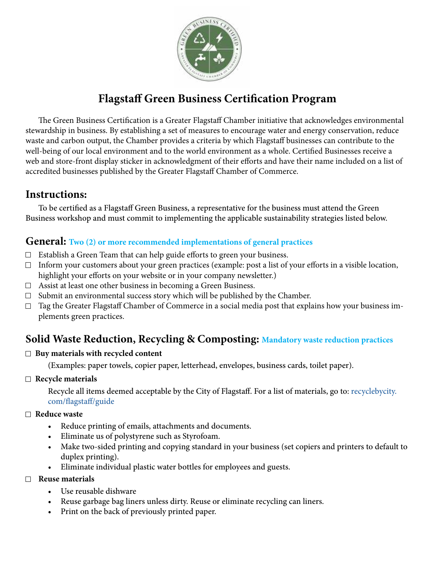

# **Flagstaff Green Business Certification Program**

The Green Business Certification is a Greater Flagstaff Chamber initiative that acknowledges environmental stewardship in business. By establishing a set of measures to encourage water and energy conservation, reduce waste and carbon output, the Chamber provides a criteria by which Flagstaff businesses can contribute to the well-being of our local environment and to the world environment as a whole. Certified Businesses receive a web and store-front display sticker in acknowledgment of their efforts and have their name included on a list of accredited businesses published by the Greater Flagstaff Chamber of Commerce.

# **Instructions:**

To be certified as a Flagstaff Green Business, a representative for the business must attend the Green Business workshop and must commit to implementing the applicable sustainability strategies listed below.

## **General: Two (2) or more recommended implementations of general practices**

- $\Box$  Establish a Green Team that can help guide efforts to green your business.
- $\Box$  Inform your customers about your green practices (example: post a list of your efforts in a visible location, highlight your efforts on your website or in your company newsletter.)
- $\Box$  Assist at least one other business in becoming a Green Business.
- $\Box$  Submit an environmental success story which will be published by the Chamber.
- $\Box$  Tag the Greater Flagstaff Chamber of Commerce in a social media post that explains how your business implements green practices.

# **Solid Waste Reduction, Recycling & Composting: Mandatory waste reduction practices**

### **Buy materials with recycled content**

(Examples: paper towels, copier paper, letterhead, envelopes, business cards, toilet paper).

**Recycle materials** 

Recycle all items deemed acceptable by the City of Flagstaff. For a list of materials, go to: [recyclebycity.](http://recyclebycity.com/flagstaff/guide ) [com/flagstaff/guide](http://recyclebycity.com/flagstaff/guide )

#### **Reduce waste**

- Reduce printing of emails, attachments and documents.
- Eliminate us of polystyrene such as Styrofoam.
- Make two-sided printing and copying standard in your business (set copiers and printers to default to duplex printing).
- Eliminate individual plastic water bottles for employees and guests.

#### **Reuse materials**

- Use reusable dishware
- Reuse garbage bag liners unless dirty. Reuse or eliminate recycling can liners.
- Print on the back of previously printed paper.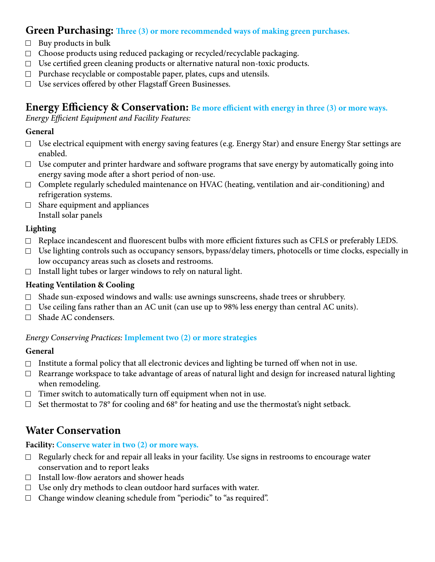# **Green Purchasing: Three (3) or more recommended ways of making green purchases.**

- $\Box$  Buy products in bulk
- $\Box$  Choose products using reduced packaging or recycled/recyclable packaging.
- $\Box$  Use certified green cleaning products or alternative natural non-toxic products.
- $\Box$  Purchase recyclable or compostable paper, plates, cups and utensils.
- $\Box$  Use services offered by other Flagstaff Green Businesses.

## **Energy Efficiency & Conservation: Be more efficient with energy in three (3) or more ways.**

Energy Efficient Equipment and Facility Features:

### **General**

- $\Box$  Use electrical equipment with energy saving features (e.g. Energy Star) and ensure Energy Star settings are enabled.
- $\Box$  Use computer and printer hardware and software programs that save energy by automatically going into energy saving mode after a short period of non-use.
- $\Box$  Complete regularly scheduled maintenance on HVAC (heating, ventilation and air-conditioning) and refrigeration systems.
- $\Box$  Share equipment and appliances Install solar panels

### **Lighting**

- $\Box$  Replace incandescent and fluorescent bulbs with more efficient fixtures such as CFLS or preferably LEDS.
- $\Box$  Use lighting controls such as occupancy sensors, bypass/delay timers, photocells or time clocks, especially in low occupancy areas such as closets and restrooms.
- $\Box$  Install light tubes or larger windows to rely on natural light.

### **Heating Ventilation & Cooling**

- $\Box$  Shade sun-exposed windows and walls: use awnings sunscreens, shade trees or shrubbery.
- $\Box$  Use ceiling fans rather than an AC unit (can use up to 98% less energy than central AC units).
- □ Shade AC condensers.

#### Energy Conserving Practices: **Implement two (2) or more strategies**

#### **General**

- $\Box$  Institute a formal policy that all electronic devices and lighting be turned off when not in use.
- $\Box$  Rearrange workspace to take advantage of areas of natural light and design for increased natural lighting when remodeling.
- $\Box$  Timer switch to automatically turn off equipment when not in use.
- $\Box$  Set thermostat to 78° for cooling and 68° for heating and use the thermostat's night setback.

# **Water Conservation**

### **Facility: Conserve water in two (2) or more ways.**

- $\Box$  Regularly check for and repair all leaks in your facility. Use signs in restrooms to encourage water conservation and to report leaks
- $\Box$  Install low-flow aerators and shower heads
- $\Box$  Use only dry methods to clean outdoor hard surfaces with water.
- $\Box$  Change window cleaning schedule from "periodic" to "as required".